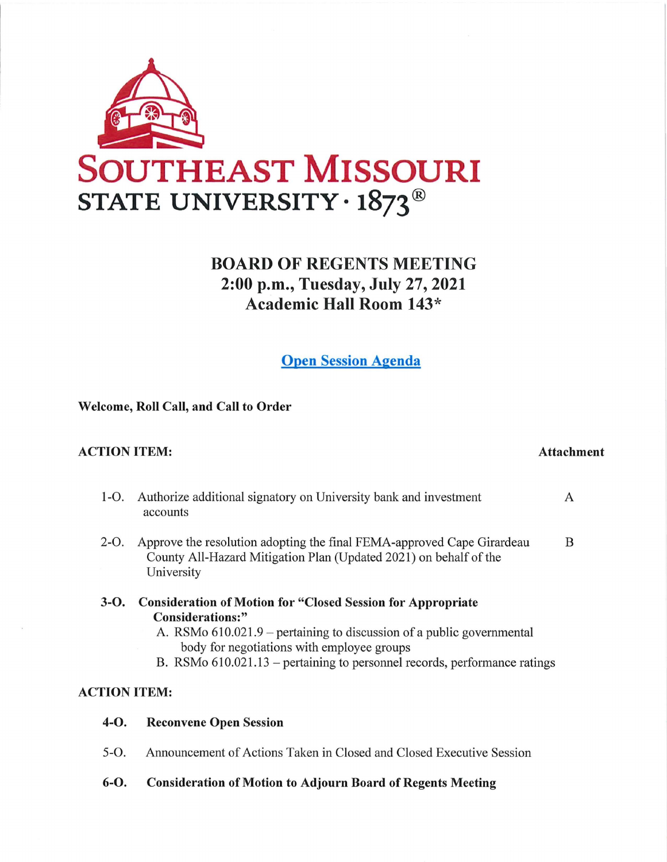

# **BOARD OF REGENTS MEETING 2:00 p.m., Tuesday, July 27, 2021 Academic Hall Room 143**\*

**Open Session Agenda** 

**Welcome, Roll Call, and Call to Order** 

#### **ACTION ITEM: Attachment**

- 1-0. Authorize additional signatory on University bank and investment A accounts 2-O. Approve the resolution adopting the final FEMA-approved Cape Girardeau B County All-Hazard Mitigation Plan (Updated 2021) on behalf of the University **3-0. Consideration of Motion for "Closed Session for Appropriate** 
	- **Considerations:"**  A. RSMo  $610.021.9$  – pertaining to discussion of a public governmental
		- body for negotiations with employee groups
		- B. RSMo  $610.021.13$  pertaining to personnel records, performance ratings

### **ACTION ITEM:**

- **4-0. Reconvene Open Session**
- 5-0. Announcement of Actions Taken in Closed and Closed Executive Session
- **6-0. Consideration of Motion to Adjourn Board of Regents Meeting**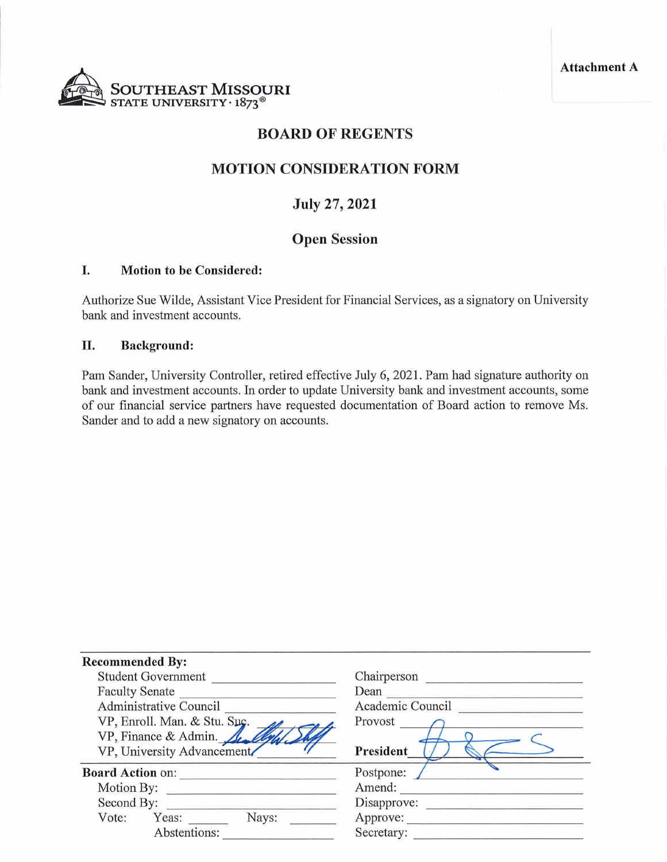**Attachment A** 



## **BOARD OF REGENTS**

### **MOTION CONSIDERATION FORM**

## **July 27, 2021**

## **Open Session**

#### **I. Motion to be Considered:**

Authorize Sue Wilde, Assistant Vice President for Financial Services, as a signatory on University bank and investment accounts.

#### **II. Background:**

Pam Sander, University Controller, retired effective July 6, 2021. Pam had signature authority on bank and investment accounts. In order to update University bank and investment accounts, some of our financial service partners have requested documentation of Board action to remove Ms. Sander and to add a new signatory on accounts.

| <b>Recommended By:</b>       |                  |
|------------------------------|------------------|
| <b>Student Government</b>    | Chairperson      |
| <b>Faculty Senate</b>        | Dean             |
| Administrative Council       | Academic Council |
| VP, Enroll. Man. & Stu. Suc. | Provost          |
| VP, Finance & Admin.         |                  |
| VP, University Advancement   | President        |
| <b>Board Action on:</b>      | Postpone:        |
| Motion By:                   | Amend:           |
| Second By:                   | Disapprove:      |
| Nays:<br>Vote:<br>Yeas:      | Approve:         |
| Abstentions:                 | Secretary:       |
|                              |                  |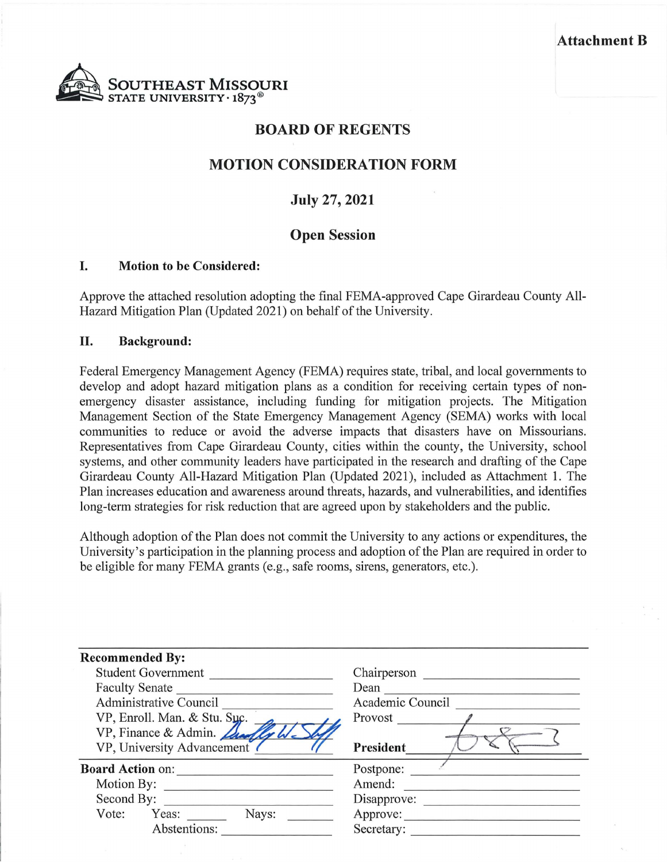#### Attachment B



## **BOARD OF REGENTS**

## **MOTION CONSIDERATION FORM**

## **July 27, 2021**

## **Open Session**

#### I. **Motion to be Considered:**

Approve the attached resolution adopting the final FEMA-approved Cape Girardeau County All-Hazard Mitigation Plan (Updated 2021) on behalf of the University.

#### II. **Background:**

Federal Emergency Management Agency (FEMA) requires state, tribal, and local governments to develop and adopt hazard mitigation plans as a condition for receiving certain types of nonemergency disaster assistance, including funding for mitigation projects. The Mitigation Management Section of the State Emergency Management Agency (SEMA) works with local communities to reduce or avoid the adverse impacts that disasters have on Missourians. Representatives from Cape Girardeau County, cities within the county, the University, school systems, and other community leaders have participated in the research and drafting of the Cape Girardeau County All-Hazard Mitigation Plan (Updated 2021), included as Attachment 1. The Plan increases education and awareness around threats, hazards, and vulnerabilities, and identifies long-term strategies for risk reduction that are agreed upon by stakeholders and the public.

Although adoption of the Plan does not commit the University to any actions or expenditures, the University's participation in the planning process and adoption of the Plan are required in order to be eligible for many FEMA grants (e.g., safe rooms, sirens, generators, etc.).

| <b>Recommended By:</b>        |                  |
|-------------------------------|------------------|
| <b>Student Government</b>     | Chairperson      |
| <b>Faculty Senate</b>         | Dean             |
| <b>Administrative Council</b> | Academic Council |
| VP, Enroll. Man. & Stu. Suc.  | Provost          |
| VP, Finance & Admin.          |                  |
| VP, University Advancement    | President        |
| <b>Board Action on:</b>       | Postpone:        |
| Motion By:                    | Amend:           |
| Second By:                    | Disapprove:      |
| Nays:<br>Vote:<br>Yeas:       | Approve:         |
| Abstentions:                  | Secretary:       |
|                               |                  |